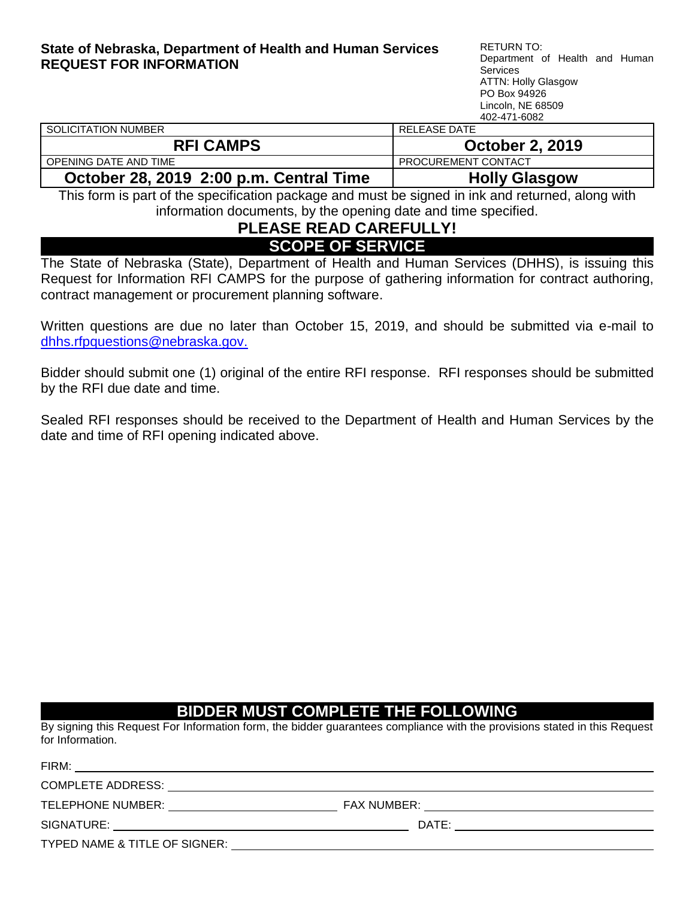#### <span id="page-0-0"></span>**State of Nebraska, Department of Health and Human Services REQUEST FOR INFORMATION**

RETURN TO: Department of Health and Human Services ATTN: Holly Glasgow PO Box 94926 Lincoln, NE 68509 402-471-6082

|                                      | 194 TH 0004            |
|--------------------------------------|------------------------|
| SOLICITATION NUMBER                  | RELEASE DATE           |
| <b>RFI CAMPS</b>                     | <b>October 2, 2019</b> |
| OPENING DATE AND TIME                | PROCUREMENT CONTACT    |
| $\bullet$ . I as sais ses . So . IT! |                        |

**October 28, 2019 2:00 p.m. Central Time | Holly Glasgow** 

This form is part of the specification package and must be signed in ink and returned, along with information documents, by the opening date and time specified.

## **PLEASE READ CAREFULLY! SCOPE OF SERVICE**

The State of Nebraska (State), Department of Health and Human Services (DHHS), is issuing this Request for Information RFI CAMPS for the purpose of gathering information for contract authoring, contract management or procurement planning software.

Written questions are due no later than October 15, 2019, and should be submitted via e-mail to [dhhs.rfpquestions@nebraska.gov.](mailto:dhhs.rfpquestions@nebraska.gov)

Bidder should submit one (1) original of the entire RFI response. RFI responses should be submitted by the RFI due date and time.

Sealed RFI responses should be received to the Department of Health and Human Services by the date and time of RFI opening indicated above.

## **BIDDER MUST COMPLETE THE FOLLOWING**

By signing this Request For Information form, the bidder guarantees compliance with the provisions stated in this Request for Information.

| FIRM:                         |                    |
|-------------------------------|--------------------|
| COMPLETE ADDRESS:             |                    |
| TELEPHONE NUMBER:             | <b>FAX NUMBER:</b> |
| SIGNATURE:                    | DATE:              |
| TYPED NAME & TITLE OF SIGNER: |                    |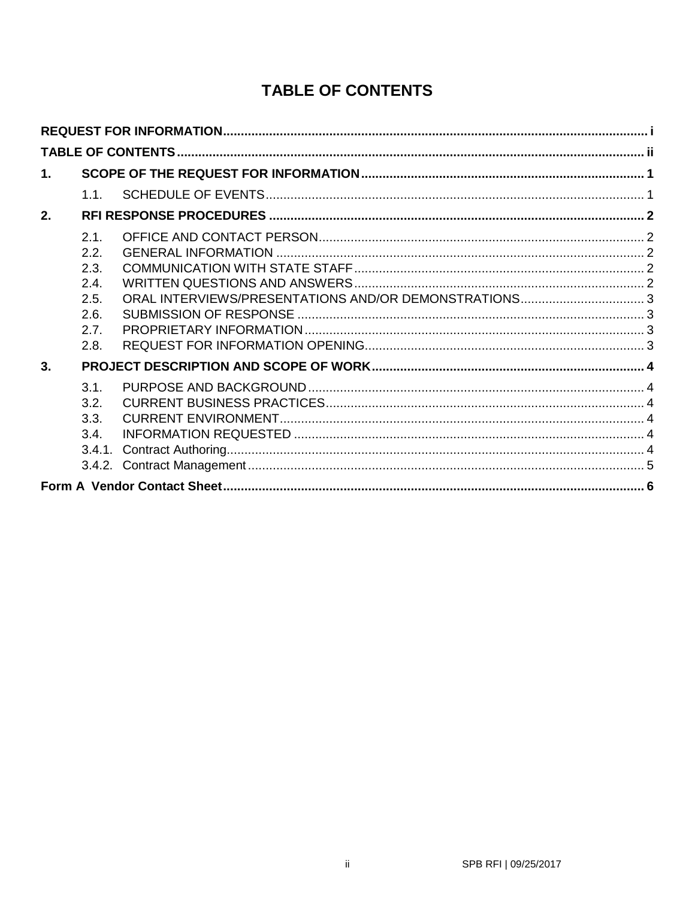# **TABLE OF CONTENTS**

<span id="page-1-0"></span>

| 1. |                                       |  |
|----|---------------------------------------|--|
|    | 1.1                                   |  |
| 2. |                                       |  |
|    | 2.1<br>2.2.<br>2.3.                   |  |
|    | 2.4<br>2.5.<br>2.6.<br>2.7.<br>2.8.   |  |
| 3. |                                       |  |
|    | 3.1<br>3.2.<br>3.3.<br>3.4.<br>3.4.1. |  |
|    |                                       |  |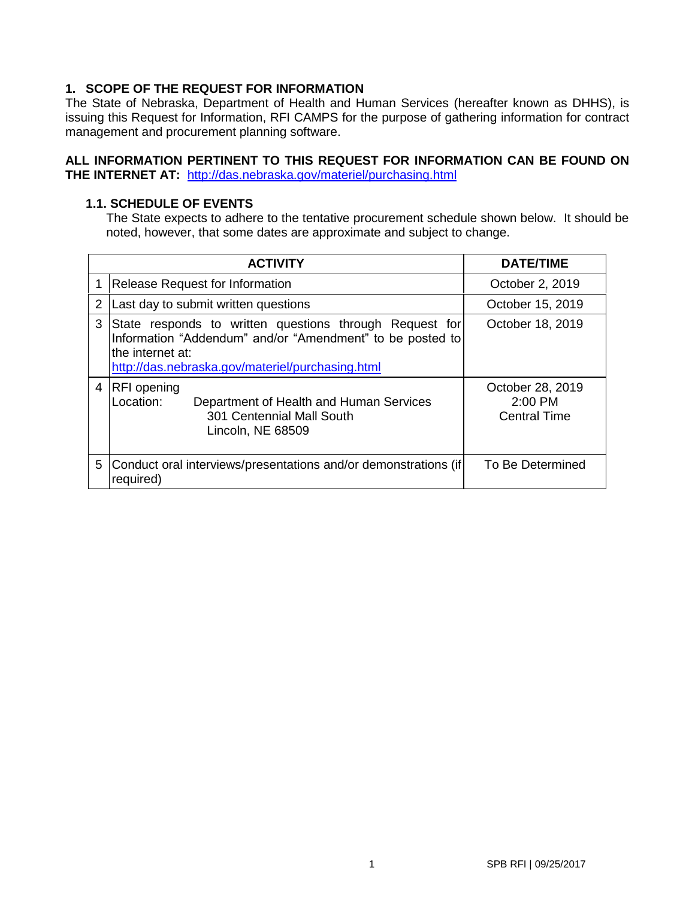## <span id="page-2-0"></span>**1. SCOPE OF THE REQUEST FOR INFORMATION**

The State of Nebraska, Department of Health and Human Services (hereafter known as DHHS), is issuing this Request for Information, RFI CAMPS for the purpose of gathering information for contract management and procurement planning software.

### **ALL INFORMATION PERTINENT TO THIS REQUEST FOR INFORMATION CAN BE FOUND ON THE INTERNET AT:** [http://das.nebraska.gov/materiel/purchasing.html](http://das.nebraska.gov/materiel/purchasing.htm)

### <span id="page-2-1"></span>**1.1. SCHEDULE OF EVENTS**

The State expects to adhere to the tentative procurement schedule shown below. It should be noted, however, that some dates are approximate and subject to change.

|   | <b>ACTIVITY</b>                                                                                                                                                                               | DATE/TIME                                          |
|---|-----------------------------------------------------------------------------------------------------------------------------------------------------------------------------------------------|----------------------------------------------------|
|   | Release Request for Information                                                                                                                                                               | October 2, 2019                                    |
| 2 | Last day to submit written questions                                                                                                                                                          | October 15, 2019                                   |
| 3 | State responds to written questions through Request for<br>Information "Addendum" and/or "Amendment" to be posted to<br>lthe internet at:<br>http://das.nebraska.gov/materiel/purchasing.html | October 18, 2019                                   |
| 4 | <b>RFI</b> opening<br>Location:<br>Department of Health and Human Services<br>301 Centennial Mall South<br>Lincoln, NE 68509                                                                  | October 28, 2019<br>2:00 PM<br><b>Central Time</b> |
| 5 | Conduct oral interviews/presentations and/or demonstrations (if)<br>required)                                                                                                                 | To Be Determined                                   |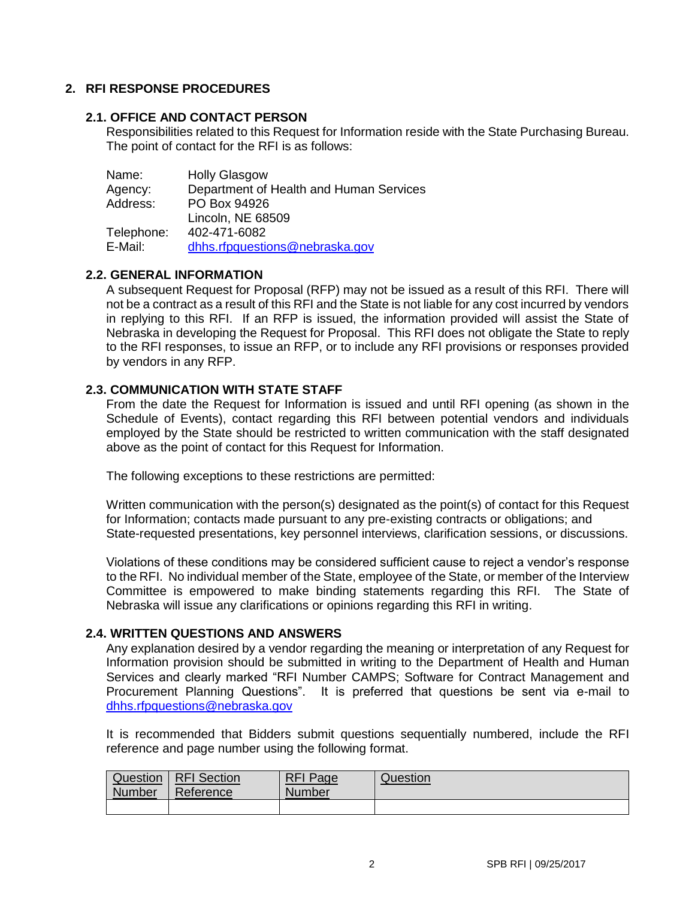## <span id="page-3-0"></span>**2. RFI RESPONSE PROCEDURES**

### <span id="page-3-1"></span>**2.1. OFFICE AND CONTACT PERSON**

Responsibilities related to this Request for Information reside with the State Purchasing Bureau. The point of contact for the RFI is as follows:

| <b>Holly Glasgow</b>                    |
|-----------------------------------------|
| Department of Health and Human Services |
| PO Box 94926                            |
| Lincoln, NE 68509                       |
| 402-471-6082                            |
| dhhs.rfpquestions@nebraska.gov          |
|                                         |

## <span id="page-3-2"></span>**2.2. GENERAL INFORMATION**

A subsequent Request for Proposal (RFP) may not be issued as a result of this RFI. There will not be a contract as a result of this RFI and the State is not liable for any cost incurred by vendors in replying to this RFI. If an RFP is issued, the information provided will assist the State of Nebraska in developing the Request for Proposal. This RFI does not obligate the State to reply to the RFI responses, to issue an RFP, or to include any RFI provisions or responses provided by vendors in any RFP.

## <span id="page-3-3"></span>**2.3. COMMUNICATION WITH STATE STAFF**

From the date the Request for Information is issued and until RFI opening (as shown in the Schedule of Events), contact regarding this RFI between potential vendors and individuals employed by the State should be restricted to written communication with the staff designated above as the point of contact for this Request for Information.

The following exceptions to these restrictions are permitted:

Written communication with the person(s) designated as the point(s) of contact for this Request for Information; contacts made pursuant to any pre-existing contracts or obligations; and State-requested presentations, key personnel interviews, clarification sessions, or discussions.

Violations of these conditions may be considered sufficient cause to reject a vendor's response to the RFI. No individual member of the State, employee of the State, or member of the Interview Committee is empowered to make binding statements regarding this RFI. The State of Nebraska will issue any clarifications or opinions regarding this RFI in writing.

### <span id="page-3-4"></span>**2.4. WRITTEN QUESTIONS AND ANSWERS**

Any explanation desired by a vendor regarding the meaning or interpretation of any Request for Information provision should be submitted in writing to the Department of Health and Human Services and clearly marked "RFI Number CAMPS; Software for Contract Management and Procurement Planning Questions". It is preferred that questions be sent via e-mail to dhhs.rfpquestions@nebraska.gov

It is recommended that Bidders submit questions sequentially numbered, include the RFI reference and page number using the following format.

| Question      | <b>RFI</b> Section | <b>RFI Page</b> | Question |
|---------------|--------------------|-----------------|----------|
| <b>Number</b> | Reference          | <b>Number</b>   |          |
|               |                    |                 |          |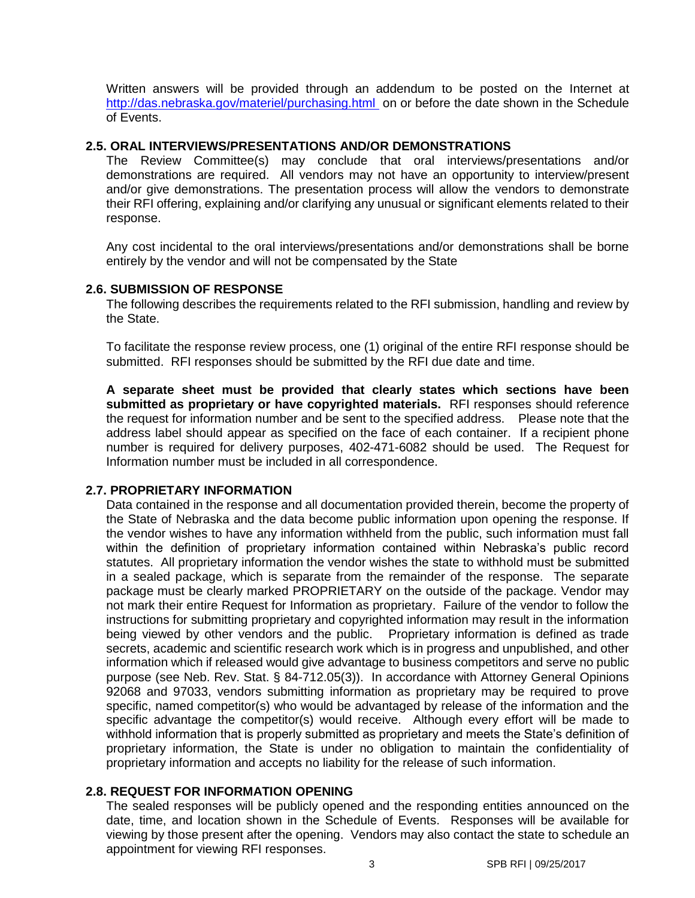Written answers will be provided through an addendum to be posted on the Internet at <http://das.nebraska.gov/materiel/purchasing.html> on or before the date shown in the Schedule of Events.

#### <span id="page-4-0"></span>**2.5. ORAL INTERVIEWS/PRESENTATIONS AND/OR DEMONSTRATIONS**

The Review Committee(s) may conclude that oral interviews/presentations and/or demonstrations are required. All vendors may not have an opportunity to interview/present and/or give demonstrations. The presentation process will allow the vendors to demonstrate their RFI offering, explaining and/or clarifying any unusual or significant elements related to their response.

Any cost incidental to the oral interviews/presentations and/or demonstrations shall be borne entirely by the vendor and will not be compensated by the State

#### <span id="page-4-1"></span>**2.6. SUBMISSION OF RESPONSE**

The following describes the requirements related to the RFI submission, handling and review by the State.

To facilitate the response review process, one (1) original of the entire RFI response should be submitted. RFI responses should be submitted by the RFI due date and time.

**A separate sheet must be provided that clearly states which sections have been submitted as proprietary or have copyrighted materials.** RFI responses should reference the request for information number and be sent to the specified address. Please note that the address label should appear as specified on the face of each container. If a recipient phone number is required for delivery purposes, 402-471-6082 should be used. The Request for Information number must be included in all correspondence.

### <span id="page-4-2"></span>**2.7. PROPRIETARY INFORMATION**

Data contained in the response and all documentation provided therein, become the property of the State of Nebraska and the data become public information upon opening the response. If the vendor wishes to have any information withheld from the public, such information must fall within the definition of proprietary information contained within Nebraska's public record statutes. All proprietary information the vendor wishes the state to withhold must be submitted in a sealed package, which is separate from the remainder of the response. The separate package must be clearly marked PROPRIETARY on the outside of the package. Vendor may not mark their entire Request for Information as proprietary. Failure of the vendor to follow the instructions for submitting proprietary and copyrighted information may result in the information being viewed by other vendors and the public. Proprietary information is defined as trade secrets, academic and scientific research work which is in progress and unpublished, and other information which if released would give advantage to business competitors and serve no public purpose (see Neb. Rev. Stat. § 84-712.05(3)). In accordance with Attorney General Opinions 92068 and 97033, vendors submitting information as proprietary may be required to prove specific, named competitor(s) who would be advantaged by release of the information and the specific advantage the competitor(s) would receive. Although every effort will be made to withhold information that is properly submitted as proprietary and meets the State's definition of proprietary information, the State is under no obligation to maintain the confidentiality of proprietary information and accepts no liability for the release of such information.

## <span id="page-4-3"></span>**2.8. REQUEST FOR INFORMATION OPENING**

The sealed responses will be publicly opened and the responding entities announced on the date, time, and location shown in the Schedule of Events. Responses will be available for viewing by those present after the opening. Vendors may also contact the state to schedule an appointment for viewing RFI responses.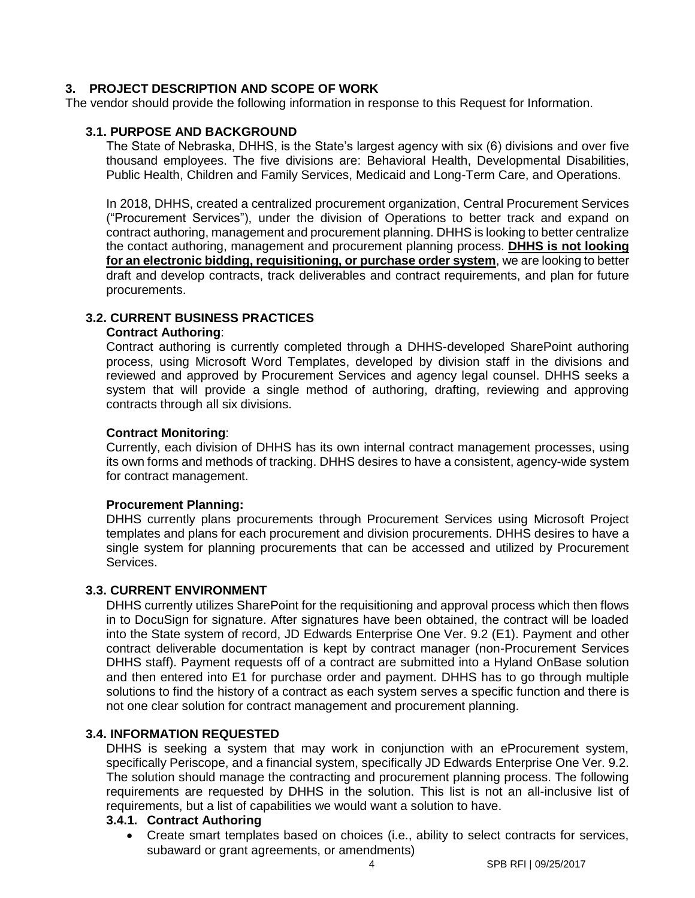## <span id="page-5-0"></span>**3. PROJECT DESCRIPTION AND SCOPE OF WORK**

The vendor should provide the following information in response to this Request for Information.

#### <span id="page-5-1"></span>**3.1. PURPOSE AND BACKGROUND**

The State of Nebraska, DHHS, is the State's largest agency with six (6) divisions and over five thousand employees. The five divisions are: Behavioral Health, Developmental Disabilities, Public Health, Children and Family Services, Medicaid and Long-Term Care, and Operations.

In 2018, DHHS, created a centralized procurement organization, Central Procurement Services ("Procurement Services"), under the division of Operations to better track and expand on contract authoring, management and procurement planning. DHHS is looking to better centralize the contact authoring, management and procurement planning process. **DHHS is not looking for an electronic bidding, requisitioning, or purchase order system**, we are looking to better draft and develop contracts, track deliverables and contract requirements, and plan for future procurements.

## <span id="page-5-2"></span>**3.2. CURRENT BUSINESS PRACTICES**

#### **Contract Authoring**:

Contract authoring is currently completed through a DHHS-developed SharePoint authoring process, using Microsoft Word Templates, developed by division staff in the divisions and reviewed and approved by Procurement Services and agency legal counsel. DHHS seeks a system that will provide a single method of authoring, drafting, reviewing and approving contracts through all six divisions.

#### **Contract Monitoring**:

Currently, each division of DHHS has its own internal contract management processes, using its own forms and methods of tracking. DHHS desires to have a consistent, agency-wide system for contract management.

#### **Procurement Planning:**

DHHS currently plans procurements through Procurement Services using Microsoft Project templates and plans for each procurement and division procurements. DHHS desires to have a single system for planning procurements that can be accessed and utilized by Procurement Services.

#### <span id="page-5-3"></span>**3.3. CURRENT ENVIRONMENT**

DHHS currently utilizes SharePoint for the requisitioning and approval process which then flows in to DocuSign for signature. After signatures have been obtained, the contract will be loaded into the State system of record, JD Edwards Enterprise One Ver. 9.2 (E1). Payment and other contract deliverable documentation is kept by contract manager (non-Procurement Services DHHS staff). Payment requests off of a contract are submitted into a Hyland OnBase solution and then entered into E1 for purchase order and payment. DHHS has to go through multiple solutions to find the history of a contract as each system serves a specific function and there is not one clear solution for contract management and procurement planning.

#### <span id="page-5-4"></span>**3.4. INFORMATION REQUESTED**

DHHS is seeking a system that may work in conjunction with an eProcurement system, specifically Periscope, and a financial system, specifically JD Edwards Enterprise One Ver. 9.2. The solution should manage the contracting and procurement planning process. The following requirements are requested by DHHS in the solution. This list is not an all-inclusive list of requirements, but a list of capabilities we would want a solution to have.

#### <span id="page-5-5"></span>**3.4.1. Contract Authoring**

 Create smart templates based on choices (i.e., ability to select contracts for services, subaward or grant agreements, or amendments)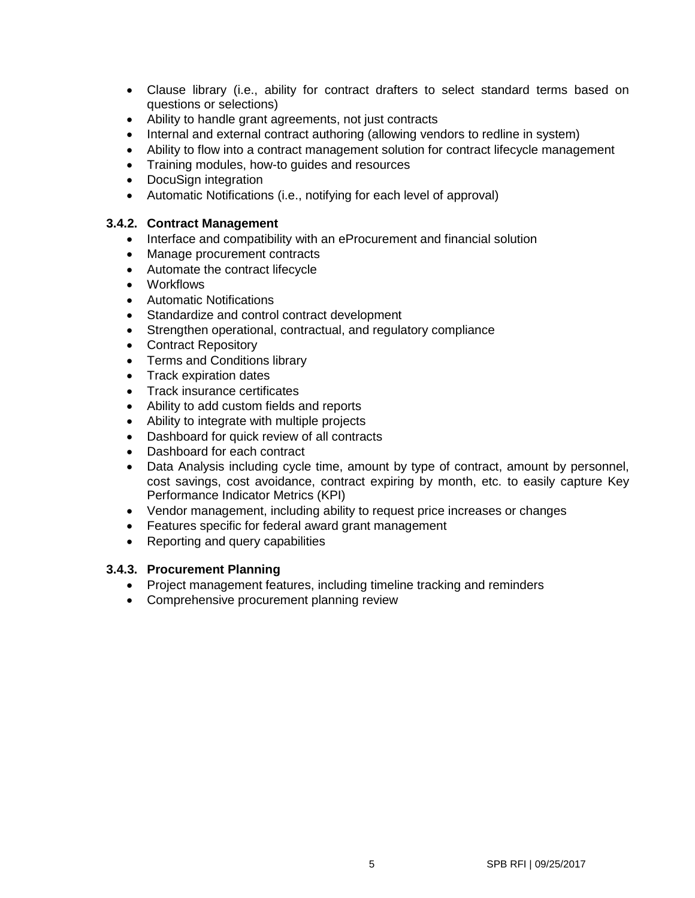- Clause library (i.e., ability for contract drafters to select standard terms based on questions or selections)
- Ability to handle grant agreements, not just contracts
- Internal and external contract authoring (allowing vendors to redline in system)
- Ability to flow into a contract management solution for contract lifecycle management
- Training modules, how-to guides and resources
- DocuSign integration
- Automatic Notifications (i.e., notifying for each level of approval)

### <span id="page-6-0"></span>**3.4.2. Contract Management**

- Interface and compatibility with an eProcurement and financial solution
- Manage procurement contracts
- Automate the contract lifecycle
- Workflows
- Automatic Notifications
- Standardize and control contract development
- Strengthen operational, contractual, and regulatory compliance
- Contract Repository
- Terms and Conditions library
- Track expiration dates
- Track insurance certificates
- Ability to add custom fields and reports
- Ability to integrate with multiple projects
- Dashboard for quick review of all contracts
- Dashboard for each contract
- Data Analysis including cycle time, amount by type of contract, amount by personnel, cost savings, cost avoidance, contract expiring by month, etc. to easily capture Key Performance Indicator Metrics (KPI)
- Vendor management, including ability to request price increases or changes
- Features specific for federal award grant management
- Reporting and query capabilities

### **3.4.3. Procurement Planning**

- Project management features, including timeline tracking and reminders
- Comprehensive procurement planning review